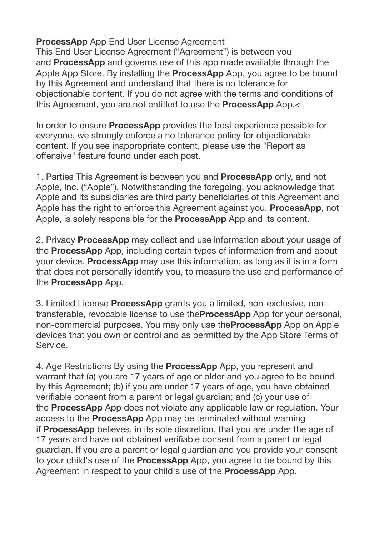**ProcessApp** App End User License Agreement

This End User License Agreement ("Agreement") is between you and **ProcessApp** and governs use of this app made available through the Apple App Store. By installing the **ProcessApp** App, you agree to be bound by this Agreement and understand that there is no tolerance for objectionable content. If you do not agree with the terms and conditions of this Agreement, you are not entitled to use the **ProcessApp** App.<

In order to ensure **ProcessApp** provides the best experience possible for everyone, we strongly enforce a no tolerance policy for objectionable content. If you see inappropriate content, please use the "Report as offensive" feature found under each post.

1. Parties This Agreement is between you and **ProcessApp** only, and not Apple, Inc. ("Apple"). Notwithstanding the foregoing, you acknowledge that Apple and its subsidiaries are third party beneficiaries of this Agreement and Apple has the right to enforce this Agreement against you. **ProcessApp**, not Apple, is solely responsible for the **ProcessApp** App and its content.

2. Privacy **ProcessApp** may collect and use information about your usage of the **ProcessApp** App, including certain types of information from and about your device. **ProcessApp** may use this information, as long as it is in a form that does not personally identify you, to measure the use and performance of the **ProcessApp** App.

3. Limited License **ProcessApp** grants you a limited, non-exclusive, nontransferable, revocable license to use the**ProcessApp** App for your personal, non-commercial purposes. You may only use the**ProcessApp** App on Apple devices that you own or control and as permitted by the App Store Terms of Service.

4. Age Restrictions By using the **ProcessApp** App, you represent and warrant that (a) you are 17 years of age or older and you agree to be bound by this Agreement; (b) if you are under 17 years of age, you have obtained verifiable consent from a parent or legal guardian; and (c) your use of the **ProcessApp** App does not violate any applicable law or regulation. Your access to the **ProcessApp** App may be terminated without warning if **ProcessApp** believes, in its sole discretion, that you are under the age of 17 years and have not obtained verifiable consent from a parent or legal guardian. If you are a parent or legal guardian and you provide your consent to your child's use of the **ProcessApp** App, you agree to be bound by this Agreement in respect to your child's use of the **ProcessApp** App.